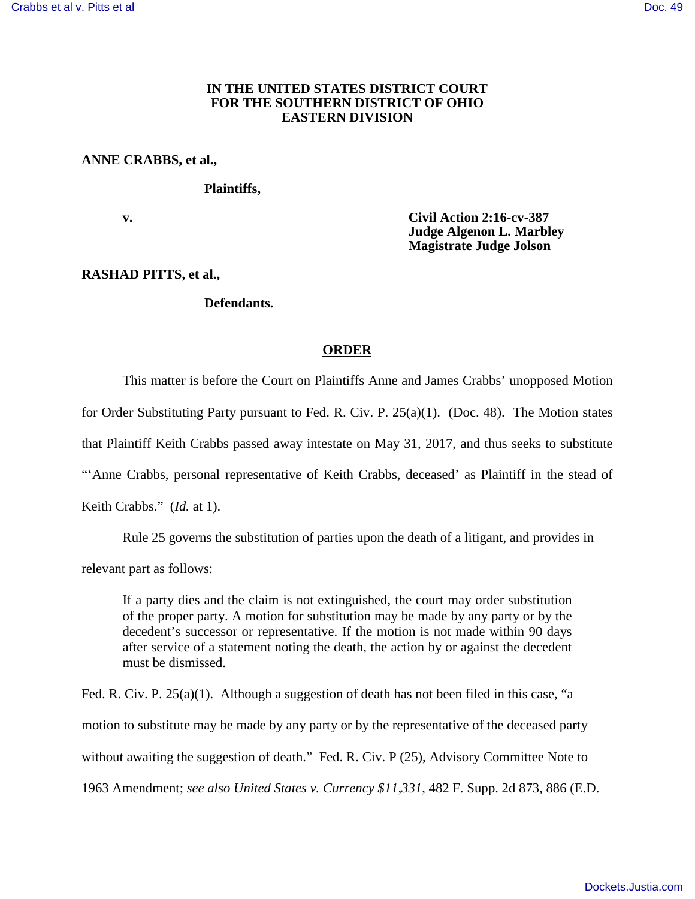## **IN THE UNITED STATES DISTRICT COURT FOR THE SOUTHERN DISTRICT OF OHIO EASTERN DIVISION**

### **ANNE CRABBS, et al.,**

#### **Plaintiffs,**

 **v. Civil Action 2:16-cv-387 Judge Algenon L. Marbley Magistrate Judge Jolson** 

# **RASHAD PITTS, et al.,**

#### **Defendants.**

# **ORDER**

This matter is before the Court on Plaintiffs Anne and James Crabbs' unopposed Motion for Order Substituting Party pursuant to Fed. R. Civ. P. 25(a)(1). (Doc. 48). The Motion states that Plaintiff Keith Crabbs passed away intestate on May 31, 2017, and thus seeks to substitute "'Anne Crabbs, personal representative of Keith Crabbs, deceased' as Plaintiff in the stead of Keith Crabbs." (*Id.* at 1).

Rule 25 governs the substitution of parties upon the death of a litigant, and provides in

relevant part as follows:

If a party dies and the claim is not extinguished, the court may order substitution of the proper party. A motion for substitution may be made by any party or by the decedent's successor or representative. If the motion is not made within 90 days after service of a statement noting the death, the action by or against the decedent must be dismissed.

Fed. R. Civ. P.  $25(a)(1)$ . Although a suggestion of death has not been filed in this case, "a motion to substitute may be made by any party or by the representative of the deceased party without awaiting the suggestion of death." Fed. R. Civ. P (25), Advisory Committee Note to 1963 Amendment; *see also United States v. Currency \$11,331*, 482 F. Supp. 2d 873, 886 (E.D.